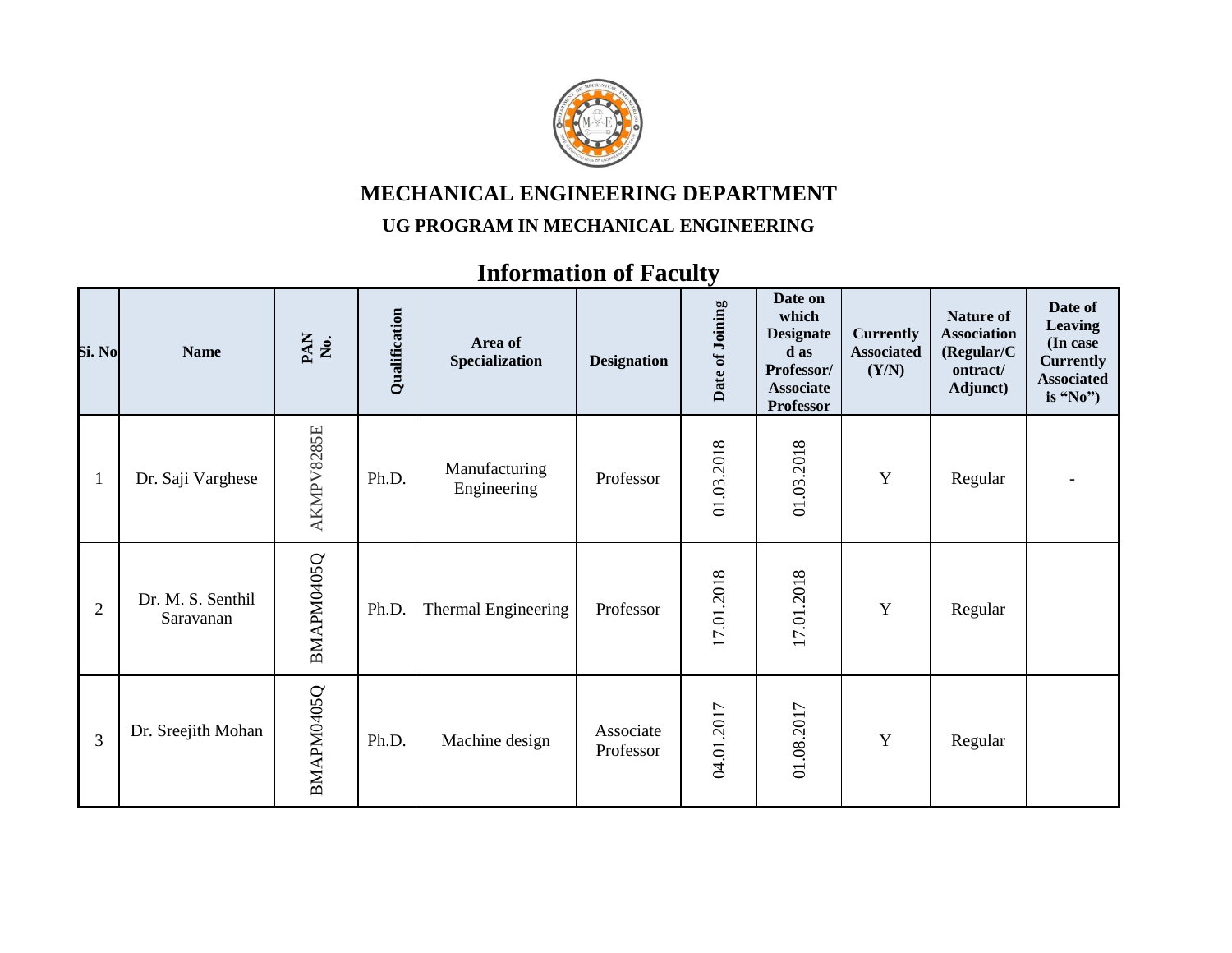

## **MECHANICAL ENGINEERING DEPARTMENT**

## **UG PROGRAM IN MECHANICAL ENGINEERING**

## **Information of Faculty**

| Si. No         | <b>Name</b>                    | PAN<br>No. | Qualification | Area of<br>Specialization    | <b>Designation</b>     | Date of Joining | Date on<br>which<br><b>Designate</b><br>d as<br>Professor/<br><b>Associate</b><br><b>Professor</b> | <b>Currently</b><br><b>Associated</b><br>(Y/N) | <b>Nature of</b><br><b>Association</b><br>(Regular/C)<br>ontract/<br>Adjunct) | Date of<br><b>Leaving</b><br>(In case)<br><b>Currently</b><br><b>Associated</b><br>is "No") |
|----------------|--------------------------------|------------|---------------|------------------------------|------------------------|-----------------|----------------------------------------------------------------------------------------------------|------------------------------------------------|-------------------------------------------------------------------------------|---------------------------------------------------------------------------------------------|
| $\mathbf{1}$   | Dr. Saji Varghese              | AKMPV8285E | Ph.D.         | Manufacturing<br>Engineering | Professor              | 01.03.2018      | 01.03.2018                                                                                         | Y                                              | Regular                                                                       |                                                                                             |
| $\overline{2}$ | Dr. M. S. Senthil<br>Saravanan | BMAPM0405Q | Ph.D.         | Thermal Engineering          | Professor              | 17.01.2018      | 17.01.2018                                                                                         | Y                                              | Regular                                                                       |                                                                                             |
| 3              | Dr. Sreejith Mohan             | BMAPM0405Q | Ph.D.         | Machine design               | Associate<br>Professor | 04.01.2017      | 01.08.2017                                                                                         | Y                                              | Regular                                                                       |                                                                                             |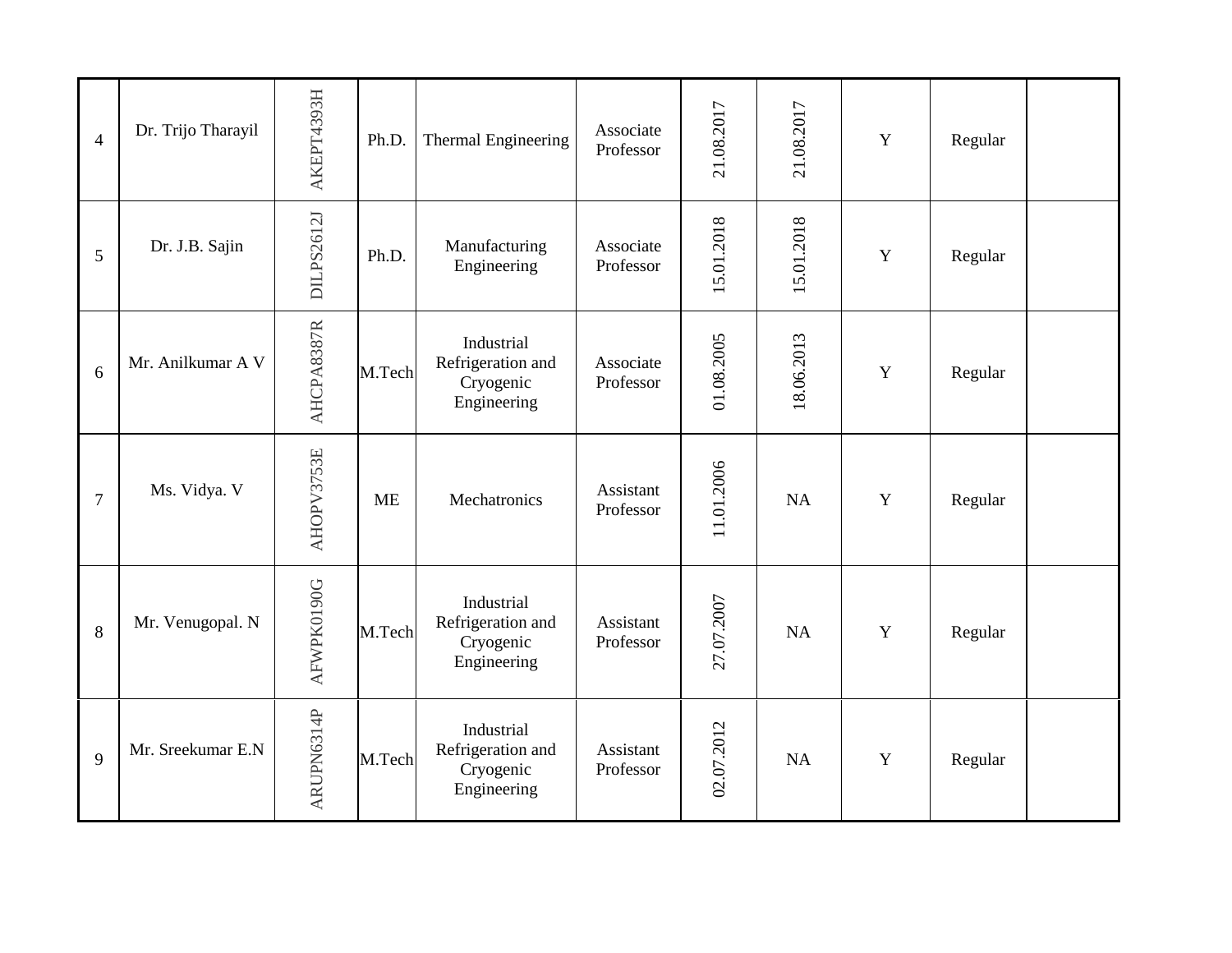| $\overline{4}$ | Dr. Trijo Tharayil | AKEPT4393H | Ph.D.     | Thermal Engineering                                         | Associate<br>Professor | 21.08.2017 | 21.08.2017 | Y           | Regular |  |
|----------------|--------------------|------------|-----------|-------------------------------------------------------------|------------------------|------------|------------|-------------|---------|--|
| 5              | Dr. J.B. Sajin     | DILPS2612J | Ph.D.     | Manufacturing<br>Engineering                                | Associate<br>Professor | 15.01.2018 | 15.01.2018 | $\mathbf Y$ | Regular |  |
| 6              | Mr. Anilkumar A V  | AHCPA8387R | M.Tech    | Industrial<br>Refrigeration and<br>Cryogenic<br>Engineering | Associate<br>Professor | 01.08.2005 | 18.06.2013 | Y           | Regular |  |
| $\overline{7}$ | Ms. Vidya. V       | AHOPV3753E | <b>ME</b> | Mechatronics                                                | Assistant<br>Professor | 11.01.2006 | <b>NA</b>  | Y           | Regular |  |
| 8              | Mr. Venugopal. N   | AFWPK0190G | M.Tech    | Industrial<br>Refrigeration and<br>Cryogenic<br>Engineering | Assistant<br>Professor | 27.07.2007 | NA         | Y           | Regular |  |
| 9              | Mr. Sreekumar E.N  | ARUPN6314P | M.Tech    | Industrial<br>Refrigeration and<br>Cryogenic<br>Engineering | Assistant<br>Professor | 02.07.2012 | <b>NA</b>  | Y           | Regular |  |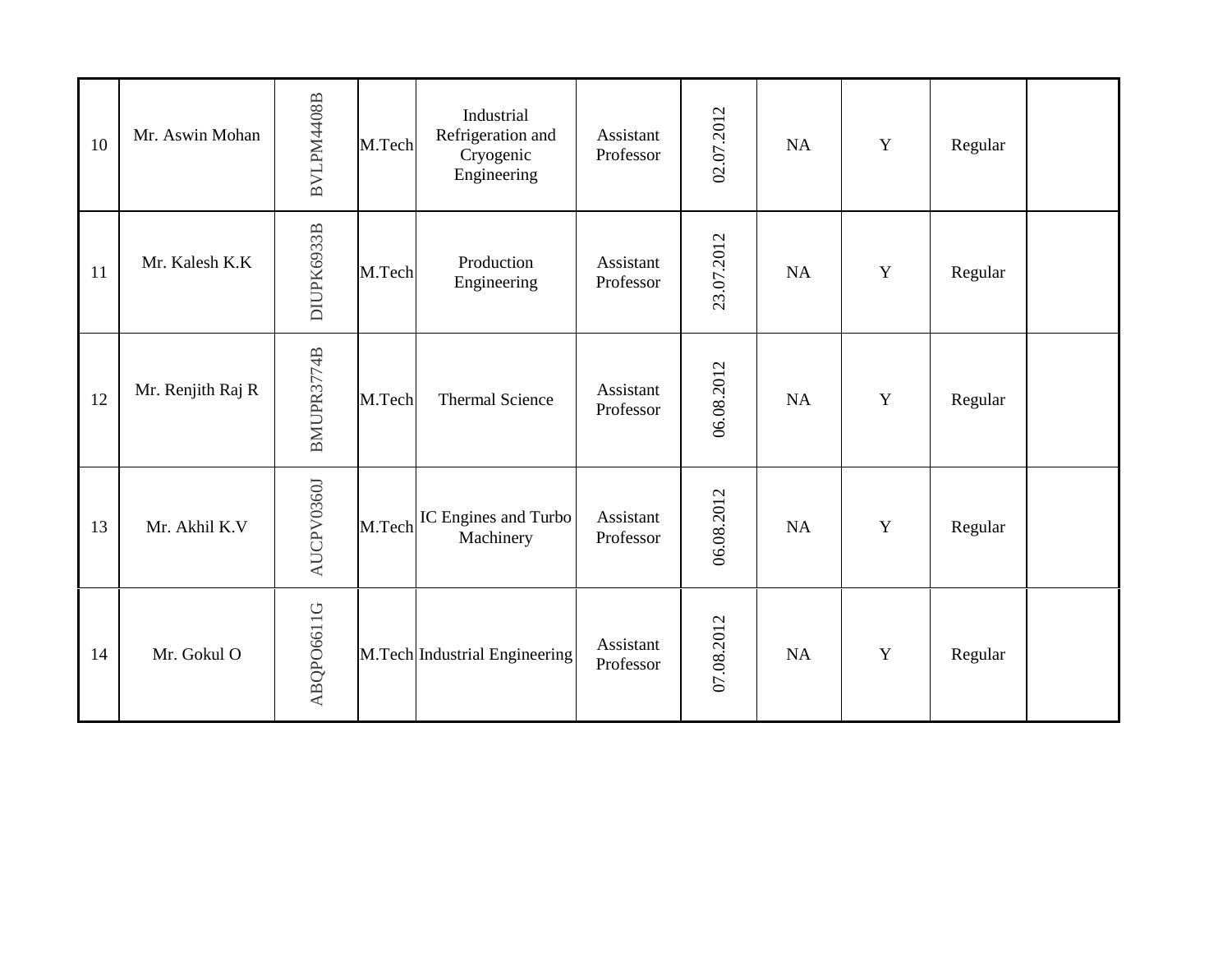| 10 | Mr. Aswin Mohan   | BVLPM4408B | M.Tech | Industrial<br>Refrigeration and<br>Cryogenic<br>Engineering | Assistant<br>Professor | 02.07.2012 | NA | $\mathbf Y$ | Regular |  |
|----|-------------------|------------|--------|-------------------------------------------------------------|------------------------|------------|----|-------------|---------|--|
| 11 | Mr. Kalesh K.K    | DIUPK6933B | M.Tech | Production<br>Engineering                                   | Assistant<br>Professor | 23.07.2012 | NA | $\mathbf Y$ | Regular |  |
| 12 | Mr. Renjith Raj R | BMUPR3774B | M.Tech | <b>Thermal Science</b>                                      | Assistant<br>Professor | 06.08.2012 | NA | $\mathbf Y$ | Regular |  |
| 13 | Mr. Akhil K.V     | AUCPV0360J | M.Tech | IC Engines and Turbo<br>Machinery                           | Assistant<br>Professor | 06.08.2012 | NA | $\mathbf Y$ | Regular |  |
| 14 | Mr. Gokul O       | ABQPO6611G |        | M.Tech Industrial Engineering                               | Assistant<br>Professor | 07.08.2012 | NA | $\mathbf Y$ | Regular |  |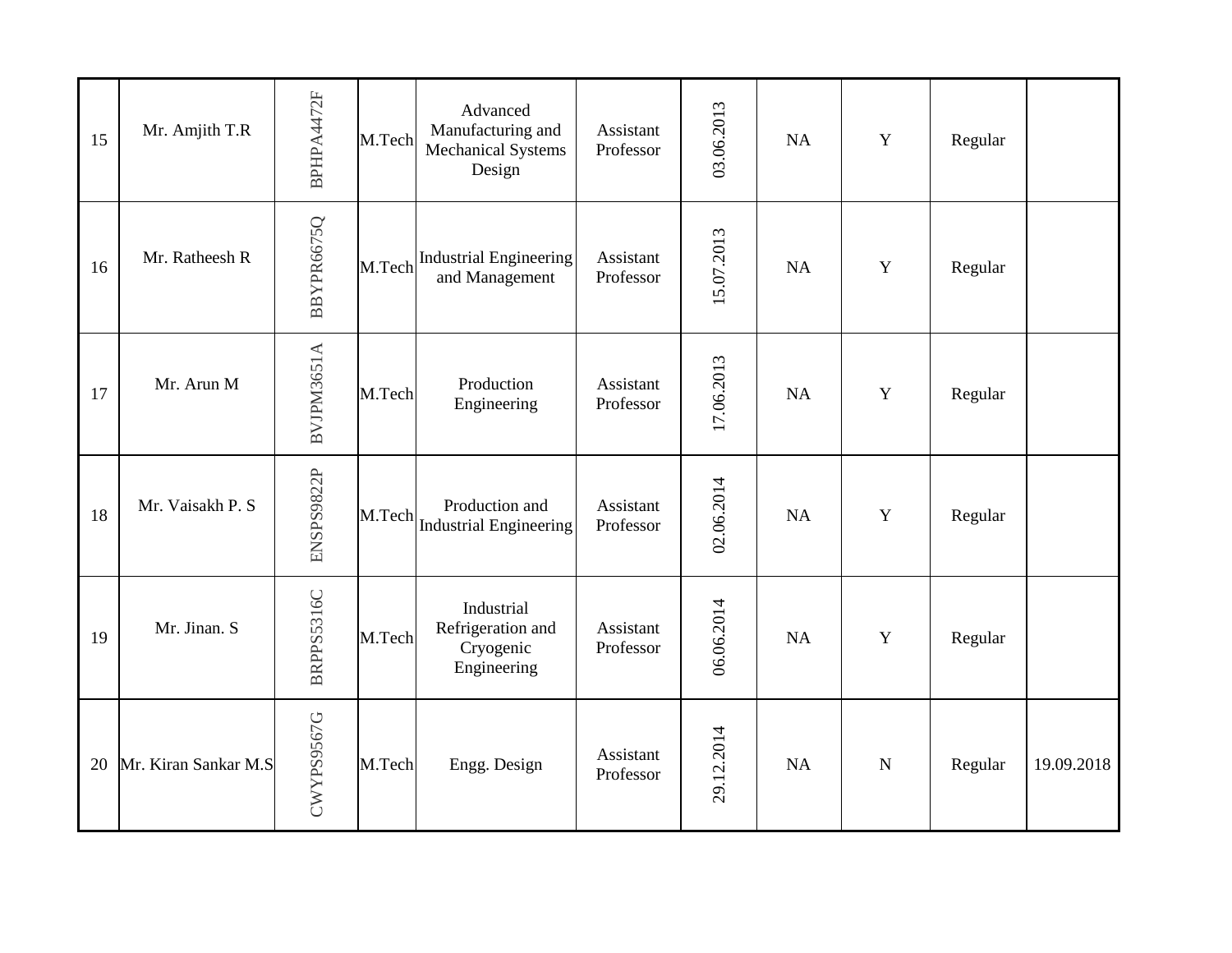| 15 | Mr. Amjith T.R       | BPHPA4472F | M.Tech | Advanced<br>Manufacturing and<br><b>Mechanical Systems</b><br>Design | Assistant<br>Professor | 03.06.2013 | <b>NA</b> | Y           | Regular |            |
|----|----------------------|------------|--------|----------------------------------------------------------------------|------------------------|------------|-----------|-------------|---------|------------|
| 16 | Mr. Ratheesh R       | BBYPR6675Q | M.Tech | <b>Industrial Engineering</b><br>and Management                      | Assistant<br>Professor | 15.07.2013 | NA        | Y           | Regular |            |
| 17 | Mr. Arun M           | BVJPM3651A | M.Tech | Production<br>Engineering                                            | Assistant<br>Professor | 17.06.2013 | NA        | Y           | Regular |            |
| 18 | Mr. Vaisakh P. S     | ENSPS9822P | M.Tech | Production and<br><b>Industrial Engineering</b>                      | Assistant<br>Professor | 02.06.2014 | NA        | Y           | Regular |            |
| 19 | Mr. Jinan. S         | BRPPS5316C | M.Tech | Industrial<br>Refrigeration and<br>Cryogenic<br>Engineering          | Assistant<br>Professor | 06.06.2014 | NA        | Y           | Regular |            |
| 20 | Mr. Kiran Sankar M.S | CWYPS9567G | M.Tech | Engg. Design                                                         | Assistant<br>Professor | 29.12.2014 | NA        | $\mathbf N$ | Regular | 19.09.2018 |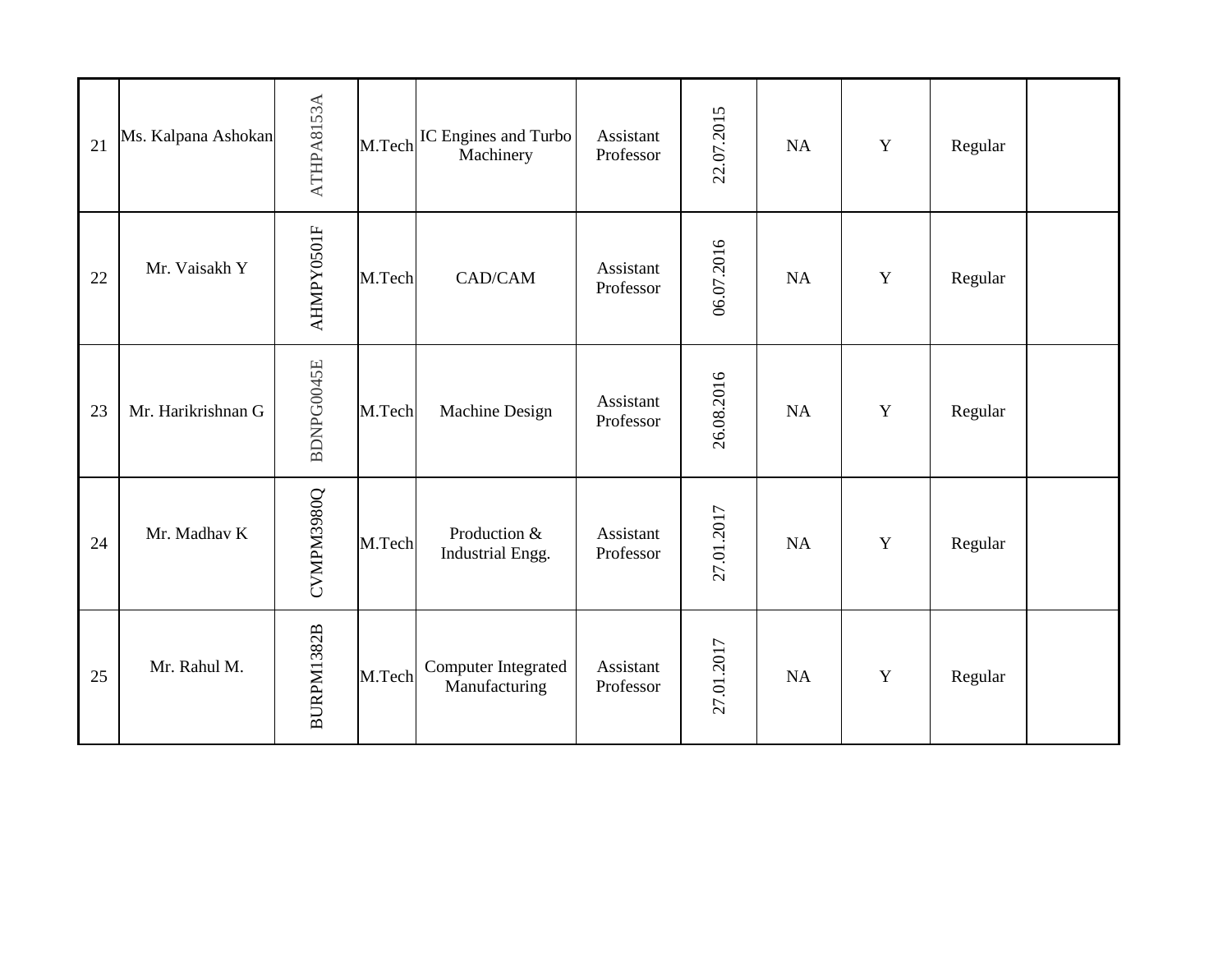| 21 | Ms. Kalpana Ashokan | ATHPA8153A | M.Tech | IC Engines and Turbo<br>Machinery    | Assistant<br>Professor | 22.07.2015 | NA        | $\mathbf Y$ | Regular |  |
|----|---------------------|------------|--------|--------------------------------------|------------------------|------------|-----------|-------------|---------|--|
| 22 | Mr. Vaisakh Y       | AHMPY0501F | M.Tech | CAD/CAM                              | Assistant<br>Professor | 06.07.2016 | NA        | Y           | Regular |  |
| 23 | Mr. Harikrishnan G  | BDNPG0045E | M.Tech | Machine Design                       | Assistant<br>Professor | 26.08.2016 | NA        | $\mathbf Y$ | Regular |  |
| 24 | Mr. Madhav K        | CVMPM3980Q | M.Tech | Production &<br>Industrial Engg.     | Assistant<br>Professor | 27.01.2017 | NA        | $\mathbf Y$ | Regular |  |
| 25 | Mr. Rahul M.        | BURPM1382B | M.Tech | Computer Integrated<br>Manufacturing | Assistant<br>Professor | 27.01.2017 | <b>NA</b> | Y           | Regular |  |